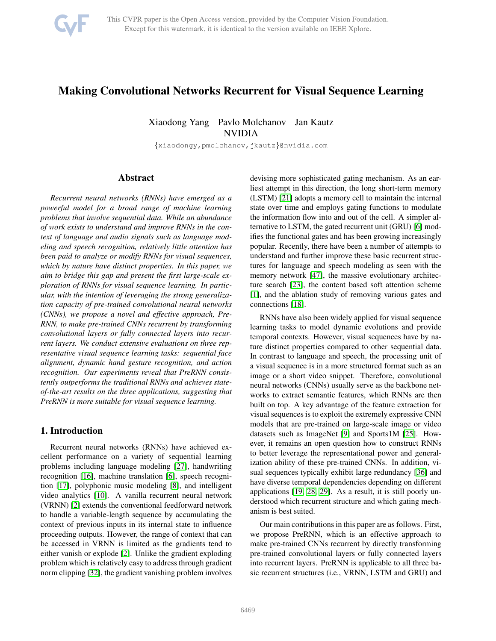

# Making Convolutional Networks Recurrent for Visual Sequence Learning

Xiaodong Yang Pavlo Molchanov Jan Kautz NVIDIA

{xiaodongy,pmolchanov,jkautz}@nvidia.com

# Abstract

*Recurrent neural networks (RNNs) have emerged as a powerful model for a broad range of machine learning problems that involve sequential data. While an abundance of work exists to understand and improve RNNs in the context of language and audio signals such as language modeling and speech recognition, relatively little attention has been paid to analyze or modify RNNs for visual sequences, which by nature have distinct properties. In this paper, we aim to bridge this gap and present the first large-scale exploration of RNNs for visual sequence learning. In particular, with the intention of leveraging the strong generalization capacity of pre-trained convolutional neural networks (CNNs), we propose a novel and effective approach, Pre-RNN, to make pre-trained CNNs recurrent by transforming convolutional layers or fully connected layers into recurrent layers. We conduct extensive evaluations on three representative visual sequence learning tasks: sequential face alignment, dynamic hand gesture recognition, and action recognition. Our experiments reveal that PreRNN consistently outperforms the traditional RNNs and achieves stateof-the-art results on the three applications, suggesting that PreRNN is more suitable for visual sequence learning.*

# 1. Introduction

Recurrent neural networks (RNNs) have achieved excellent performance on a variety of sequential learning problems including language modeling [\[27\]](#page-8-0), handwriting recognition [\[16\]](#page-8-1), machine translation [\[6\]](#page-8-2), speech recognition [\[17\]](#page-8-3), polyphonic music modeling [\[8\]](#page-8-4), and intelligent video analytics [\[10\]](#page-8-5). A vanilla recurrent neural network (VRNN) [\[2\]](#page-8-6) extends the conventional feedforward network to handle a variable-length sequence by accumulating the context of previous inputs in its internal state to influence proceeding outputs. However, the range of context that can be accessed in VRNN is limited as the gradients tend to either vanish or explode [\[2\]](#page-8-6). Unlike the gradient exploding problem which is relatively easy to address through gradient norm clipping [\[32\]](#page-8-7), the gradient vanishing problem involves devising more sophisticated gating mechanism. As an earliest attempt in this direction, the long short-term memory (LSTM) [\[21\]](#page-8-8) adopts a memory cell to maintain the internal state over time and employs gating functions to modulate the information flow into and out of the cell. A simpler alternative to LSTM, the gated recurrent unit (GRU) [\[6\]](#page-8-2) modifies the functional gates and has been growing increasingly popular. Recently, there have been a number of attempts to understand and further improve these basic recurrent structures for language and speech modeling as seen with the memory network [\[47\]](#page-9-0), the massive evolutionary architecture search [\[23\]](#page-8-9), the content based soft attention scheme [\[1\]](#page-8-10), and the ablation study of removing various gates and connections [\[18\]](#page-8-11).

RNNs have also been widely applied for visual sequence learning tasks to model dynamic evolutions and provide temporal contexts. However, visual sequences have by nature distinct properties compared to other sequential data. In contrast to language and speech, the processing unit of a visual sequence is in a more structured format such as an image or a short video snippet. Therefore, convolutional neural networks (CNNs) usually serve as the backbone networks to extract semantic features, which RNNs are then built on top. A key advantage of the feature extraction for visual sequences is to exploit the extremely expressive CNN models that are pre-trained on large-scale image or video datasets such as ImageNet [\[9\]](#page-8-12) and Sports1M [\[25\]](#page-8-13). However, it remains an open question how to construct RNNs to better leverage the representational power and generalization ability of these pre-trained CNNs. In addition, visual sequences typically exhibit large redundancy [\[36\]](#page-8-14) and have diverse temporal dependencies depending on different applications [\[19,](#page-8-15) [28,](#page-8-16) [29\]](#page-8-17). As a result, it is still poorly understood which recurrent structure and which gating mechanism is best suited.

Our main contributions in this paper are as follows. First, we propose PreRNN, which is an effective approach to make pre-trained CNNs recurrent by directly transforming pre-trained convolutional layers or fully connected layers into recurrent layers. PreRNN is applicable to all three basic recurrent structures (i.e., VRNN, LSTM and GRU) and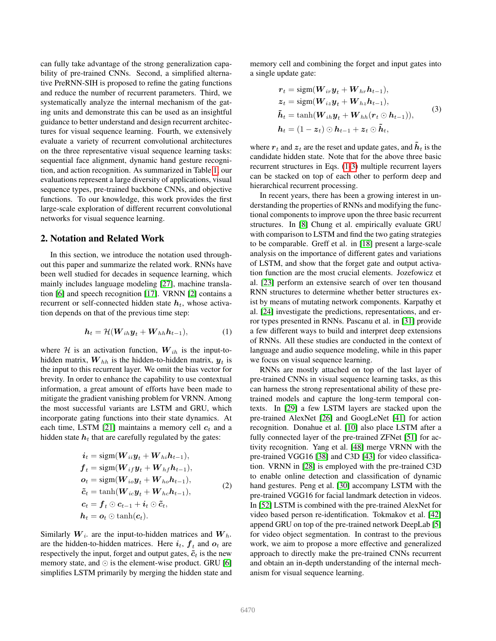can fully take advantage of the strong generalization capability of pre-trained CNNs. Second, a simplified alternative PreRNN-SIH is proposed to refine the gating functions and reduce the number of recurrent parameters. Third, we systematically analyze the internal mechanism of the gating units and demonstrate this can be used as an insightful guidance to better understand and design recurrent architectures for visual sequence learning. Fourth, we extensively evaluate a variety of recurrent convolutional architectures on the three representative visual sequence learning tasks: sequential face alignment, dynamic hand gesture recognition, and action recognition. As summarized in Table [1,](#page-4-0) our evaluations represent a large diversity of applications, visual sequence types, pre-trained backbone CNNs, and objective functions. To our knowledge, this work provides the first large-scale exploration of different recurrent convolutional networks for visual sequence learning.

#### 2. Notation and Related Work

In this section, we introduce the notation used throughout this paper and summarize the related work. RNNs have been well studied for decades in sequence learning, which mainly includes language modeling [\[27\]](#page-8-0), machine translation [\[6\]](#page-8-2) and speech recognition [\[17\]](#page-8-3). VRNN [\[2\]](#page-8-6) contains a recurrent or self-connected hidden state  $h_t$ , whose activation depends on that of the previous time step:

$$
\boldsymbol{h}_t = \mathcal{H}(\boldsymbol{W}_{ih}\boldsymbol{y}_t + \boldsymbol{W}_{hh}\boldsymbol{h}_{t-1}), \tag{1}
$$

where  $H$  is an activation function,  $W_{ih}$  is the input-tohidden matrix,  $\boldsymbol{W}_{hh}$  is the hidden-to-hidden matrix,  $\boldsymbol{y}_t$  is the input to this recurrent layer. We omit the bias vector for brevity. In order to enhance the capability to use contextual information, a great amount of efforts have been made to mitigate the gradient vanishing problem for VRNN. Among the most successful variants are LSTM and GRU, which incorporate gating functions into their state dynamics. At each time, LSTM [\[21\]](#page-8-8) maintains a memory cell  $c_t$  and a hidden state  $h_t$  that are carefully regulated by the gates:

$$
i_t = sign(W_{ii}y_t + W_{hi}h_{t-1}),
$$
  
\n
$$
f_t = sign(W_{ij}y_t + W_{hf}h_{t-1}),
$$
  
\n
$$
o_t = sign(W_{io}y_t + W_{ho}h_{t-1}),
$$
  
\n
$$
\tilde{c}_t = tanh(W_{ic}y_t + W_{hc}h_{t-1}),
$$
  
\n
$$
c_t = f_t \odot c_{t-1} + i_t \odot \tilde{c}_t,
$$
  
\n
$$
h_t = o_t \odot tanh(c_t).
$$
\n(2)

Similarly  $W_i$  are the input-to-hidden matrices and  $W_h$ . are the hidden-to-hidden matrices. Here  $i_t$ ,  $f_t$  and  $o_t$  are respectively the input, forget and output gates,  $\tilde{c}_t$  is the new memory state, and  $\odot$  is the element-wise product. GRU [\[6\]](#page-8-2) simplifies LSTM primarily by merging the hidden state and memory cell and combining the forget and input gates into a single update gate:

<span id="page-1-1"></span>
$$
r_t = \text{sign}(W_{ir}y_t + W_{hr}h_{t-1}),
$$
  
\n
$$
z_t = \text{sign}(W_{iz}y_t + W_{hz}h_{t-1}),
$$
  
\n
$$
\tilde{h}_t = \tanh(W_{ih}y_t + W_{hh}(r_t \odot h_{t-1})),
$$
  
\n
$$
h_t = (1 - z_t) \odot h_{t-1} + z_t \odot \tilde{h}_t,
$$
\n(3)

where  $r_t$  and  $z_t$  are the reset and update gates, and  $\tilde{h}_t$  is the candidate hidden state. Note that for the above three basic recurrent structures in Eqs. [\(1](#page-1-0)[-3\)](#page-1-1) multiple recurrent layers can be stacked on top of each other to perform deep and hierarchical recurrent processing.

In recent years, there has been a growing interest in understanding the properties of RNNs and modifying the functional components to improve upon the three basic recurrent structures. In [\[8\]](#page-8-4) Chung et al. empirically evaluate GRU with comparison to LSTM and find the two gating strategies to be comparable. Greff et al. in [\[18\]](#page-8-11) present a large-scale analysis on the importance of different gates and variations of LSTM, and show that the forget gate and output activation function are the most crucial elements. Jozefowicz et al. [\[23\]](#page-8-9) perform an extensive search of over ten thousand RNN structures to determine whether better structures exist by means of mutating network components. Karpathy et al. [\[24\]](#page-8-18) investigate the predictions, representations, and error types presented in RNNs. Pascanu et al. in [\[31\]](#page-8-19) provide a few different ways to build and interpret deep extensions of RNNs. All these studies are conducted in the context of language and audio sequence modeling, while in this paper we focus on visual sequence learning.

<span id="page-1-2"></span><span id="page-1-0"></span>RNNs are mostly attached on top of the last layer of pre-trained CNNs in visual sequence learning tasks, as this can harness the strong representational ability of these pretrained models and capture the long-term temporal contexts. In [\[29\]](#page-8-17) a few LSTM layers are stacked upon the pre-trained AlexNet [\[26\]](#page-8-20) and GoogLeNet [\[41\]](#page-8-21) for action recognition. Donahue et al. [\[10\]](#page-8-5) also place LSTM after a fully connected layer of the pre-trained ZFNet [\[51\]](#page-9-1) for activity recognition. Yang et al. [\[48\]](#page-9-2) merge VRNN with the pre-trained VGG16 [\[38\]](#page-8-22) and C3D [\[43\]](#page-9-3) for video classification. VRNN in [\[28\]](#page-8-16) is employed with the pre-trained C3D to enable online detection and classification of dynamic hand gestures. Peng et al. [\[30\]](#page-8-23) accompany LSTM with the pre-trained VGG16 for facial landmark detection in videos. In [\[52\]](#page-9-4) LSTM is combined with the pre-trained AlexNet for video based person re-identification. Tokmakov et al. [\[42\]](#page-8-24) append GRU on top of the pre-trained network DeepLab [\[5\]](#page-8-25) for video object segmentation. In contrast to the previous work, we aim to propose a more effective and generalized approach to directly make the pre-trained CNNs recurrent and obtain an in-depth understanding of the internal mechanism for visual sequence learning.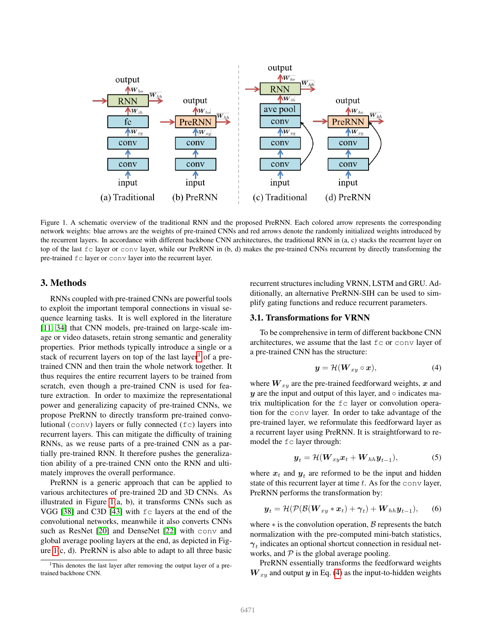

<span id="page-2-1"></span>Figure 1. A schematic overview of the traditional RNN and the proposed PreRNN. Each colored arrow represents the corresponding network weights: blue arrows are the weights of pre-trained CNNs and red arrows denote the randomly initialized weights introduced by the recurrent layers. In accordance with different backbone CNN architectures, the traditional RNN in (a, c) stacks the recurrent layer on top of the last fc layer or conv layer, while our PreRNN in (b, d) makes the pre-trained CNNs recurrent by directly transforming the pre-trained fc layer or conv layer into the recurrent layer.

# 3. Methods

RNNs coupled with pre-trained CNNs are powerful tools to exploit the important temporal connections in visual sequence learning tasks. It is well explored in the literature [\[11,](#page-8-26) [34\]](#page-8-27) that CNN models, pre-trained on large-scale image or video datasets, retain strong semantic and generality properties. Prior methods typically introduce a single or a stack of recurrent layers on top of the last layer<sup>[1](#page-2-0)</sup> of a pretrained CNN and then train the whole network together. It thus requires the entire recurrent layers to be trained from scratch, even though a pre-trained CNN is used for feature extraction. In order to maximize the representational power and generalizing capacity of pre-trained CNNs, we propose PreRNN to directly transform pre-trained convolutional (conv) layers or fully connected (fc) layers into recurrent layers. This can mitigate the difficulty of training RNNs, as we reuse parts of a pre-trained CNN as a partially pre-trained RNN. It therefore pushes the generalization ability of a pre-trained CNN onto the RNN and ultimately improves the overall performance.

PreRNN is a generic approach that can be applied to various architectures of pre-trained 2D and 3D CNNs. As illustrated in Figure [1\(](#page-2-1)a, b), it transforms CNNs such as VGG [\[38\]](#page-8-22) and C3D [\[43\]](#page-9-3) with fc layers at the end of the convolutional networks, meanwhile it also converts CNNs such as ResNet [\[20\]](#page-8-28) and DenseNet [\[22\]](#page-8-29) with conv and global average pooling layers at the end, as depicted in Figure  $1(c, d)$ . PreRNN is also able to adapt to all three basic

recurrent structures including VRNN, LSTM and GRU. Additionally, an alternative PreRNN-SIH can be used to simplify gating functions and reduce recurrent parameters.

#### 3.1. Transformations for VRNN

To be comprehensive in term of different backbone CNN architectures, we assume that the last fc or conv layer of a pre-trained CNN has the structure:

<span id="page-2-2"></span>
$$
y = \mathcal{H}(W_{xy} \circ x), \tag{4}
$$

where  $W_{xy}$  are the pre-trained feedforward weights, x and  $y$  are the input and output of this layer, and  $\circ$  indicates matrix multiplication for the fc layer or convolution operation for the conv layer. In order to take advantage of the pre-trained layer, we reformulate this feedforward layer as a recurrent layer using PreRNN. It is straightforward to remodel the  $fc$  layer through:

<span id="page-2-4"></span><span id="page-2-3"></span>
$$
\boldsymbol{y}_t = \mathcal{H}(\boldsymbol{W}_{xy}\boldsymbol{x}_t + \boldsymbol{W}_{hh}\boldsymbol{y}_{t-1}), \tag{5}
$$

where  $x_t$  and  $y_t$  are reformed to be the input and hidden state of this recurrent layer at time  $t$ . As for the conv layer, PreRNN performs the transformation by:

$$
\boldsymbol{y}_t = \mathcal{H}(\mathcal{P}(\mathcal{B}(\boldsymbol{W}_{xy} * \boldsymbol{x}_t) + \boldsymbol{\gamma}_t) + \boldsymbol{W}_{hh} \boldsymbol{y}_{t-1}), \qquad (6)
$$

where  $*$  is the convolution operation,  $\beta$  represents the batch normalization with the pre-computed mini-batch statistics,  $\gamma_t$  indicates an optional shortcut connection in residual networks, and  $P$  is the global average pooling.

PreRNN essentially transforms the feedforward weights  $W_{xy}$  and output y in Eq. [\(4\)](#page-2-2) as the input-to-hidden weights

<span id="page-2-0"></span><sup>&</sup>lt;sup>1</sup>This denotes the last layer after removing the output layer of a pretrained backbone CNN.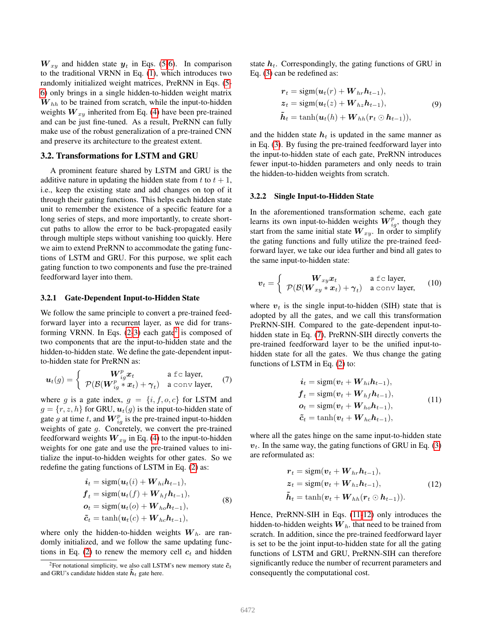$W_{xy}$  and hidden state  $y_t$  in Eqs. [\(5-](#page-2-3)[6\)](#page-2-4). In comparison to the traditional VRNN in Eq. [\(1\)](#page-1-0), which introduces two randomly initialized weight matrices, PreRNN in Eqs. [\(5-](#page-2-3) [6\)](#page-2-4) only brings in a single hidden-to-hidden weight matrix  $W_{hh}$  to be trained from scratch, while the input-to-hidden weights  $W_{xy}$  inherited from Eq. [\(4\)](#page-2-2) have been pre-trained and can be just fine-tuned. As a result, PreRNN can fully make use of the robust generalization of a pre-trained CNN and preserve its architecture to the greatest extent.

#### 3.2. Transformations for LSTM and GRU

A prominent feature shared by LSTM and GRU is the additive nature in updating the hidden state from t to  $t + 1$ , i.e., keep the existing state and add changes on top of it through their gating functions. This helps each hidden state unit to remember the existence of a specific feature for a long series of steps, and more importantly, to create shortcut paths to allow the error to be back-propagated easily through multiple steps without vanishing too quickly. Here we aim to extend PreRNN to accommodate the gating functions of LSTM and GRU. For this purpose, we split each gating function to two components and fuse the pre-trained feedforward layer into them.

#### 3.2.1 Gate-Dependent Input-to-Hidden State

We follow the same principle to convert a pre-trained feedforward layer into a recurrent layer, as we did for transforming VRNN. In Eqs.  $(2-3)$  $(2-3)$  each gate<sup>[2](#page-3-0)</sup> is composed of two components that are the input-to-hidden state and the hidden-to-hidden state. We define the gate-dependent inputto-hidden state for PreRNN as:

<span id="page-3-1"></span>
$$
\boldsymbol{u}_t(g) = \begin{cases} \boldsymbol{W}_{ig}^p \boldsymbol{x}_t & \text{a fc layer,} \\ \mathcal{P}(\mathcal{B}(\boldsymbol{W}_{ig}^p * \boldsymbol{x}_t) + \boldsymbol{\gamma}_t) & \text{a conv layer,} \end{cases}
$$
(7)

where g is a gate index,  $g = \{i, f, o, c\}$  for LSTM and  $g = {r, z, h}$  for GRU,  $u_t(g)$  is the input-to-hidden state of gate g at time t, and  $W_{ig}^p$  is the pre-trained input-to-hidden weights of gate g. Concretely, we convert the pre-trained feedforward weights  $W_{xy}$  in Eq. [\(4\)](#page-2-2) to the input-to-hidden weights for one gate and use the pre-trained values to initialize the input-to-hidden weights for other gates. So we redefine the gating functions of LSTM in Eq. [\(2\)](#page-1-2) as:

$$
\begin{aligned}\n\boldsymbol{i}_t &= \text{sign}(\boldsymbol{u}_t(i) + \boldsymbol{W}_{hi}\boldsymbol{h}_{t-1}), \\
\boldsymbol{f}_t &= \text{sign}(\boldsymbol{u}_t(f) + \boldsymbol{W}_{hf}\boldsymbol{h}_{t-1}), \\
\boldsymbol{o}_t &= \text{sign}(\boldsymbol{u}_t(o) + \boldsymbol{W}_{ho}\boldsymbol{h}_{t-1}), \\
\boldsymbol{\tilde{c}}_t &= \tanh(\boldsymbol{u}_t(c) + \boldsymbol{W}_{hc}\boldsymbol{h}_{t-1}),\n\end{aligned} \tag{8}
$$

where only the hidden-to-hidden weights  $W_h$ , are randomly initialized, and we follow the same updating func-tions in Eq. [\(2\)](#page-1-2) to renew the memory cell  $c_t$  and hidden

state  $h_t$ . Correspondingly, the gating functions of GRU in Eq. [\(3\)](#page-1-1) can be redefined as:

$$
r_t = \text{sigm}(\boldsymbol{u}_t(r) + \boldsymbol{W}_{hr}\boldsymbol{h}_{t-1}),
$$
  
\n
$$
\boldsymbol{z}_t = \text{sigm}(\boldsymbol{u}_t(z) + \boldsymbol{W}_{hz}\boldsymbol{h}_{t-1}),
$$
  
\n
$$
\tilde{\boldsymbol{h}}_t = \tanh(\boldsymbol{u}_t(h) + \boldsymbol{W}_{hh}(\boldsymbol{r}_t \odot \boldsymbol{h}_{t-1})),
$$
\n(9)

and the hidden state  $h_t$  is updated in the same manner as in Eq. [\(3\)](#page-1-1). By fusing the pre-trained feedforward layer into the input-to-hidden state of each gate, PreRNN introduces fewer input-to-hidden parameters and only needs to train the hidden-to-hidden weights from scratch.

#### 3.2.2 Single Input-to-Hidden State

In the aforementioned transformation scheme, each gate learns its own input-to-hidden weights  $W_{ig}^p$ , though they start from the same initial state  $W_{xy}$ . In order to simplify the gating functions and fully utilize the pre-trained feedforward layer, we take our idea further and bind all gates to the same input-to-hidden state:

<span id="page-3-4"></span>
$$
v_t = \begin{cases} W_{xy}x_t & \text{a fc layer,} \\ \mathcal{P}(\mathcal{B}(W_{xy} * x_t) + \gamma_t) & \text{a conv layer,} \end{cases}
$$
 (10)

where  $v_t$  is the single input-to-hidden (SIH) state that is adopted by all the gates, and we call this transformation PreRNN-SIH. Compared to the gate-dependent input-tohidden state in Eq. [\(7\)](#page-3-1), PreRNN-SIH directly converts the pre-trained feedforward layer to be the unified input-tohidden state for all the gates. We thus change the gating functions of LSTM in Eq. [\(2\)](#page-1-2) to:

<span id="page-3-2"></span>
$$
\begin{aligned}\n\boldsymbol{i}_t &= \text{sigm}(\boldsymbol{v}_t + \boldsymbol{W}_{hi}\boldsymbol{h}_{t-1}), \\
\boldsymbol{f}_t &= \text{sigm}(\boldsymbol{v}_t + \boldsymbol{W}_{hf}\boldsymbol{h}_{t-1}), \\
\boldsymbol{o}_t &= \text{sigm}(\boldsymbol{v}_t + \boldsymbol{W}_{ho}\boldsymbol{h}_{t-1}), \\
\tilde{\boldsymbol{c}}_t &= \tanh(\boldsymbol{v}_t + \boldsymbol{W}_{hc}\boldsymbol{h}_{t-1}),\n\end{aligned} \tag{11}
$$

where all the gates hinge on the same input-to-hidden state  $v_t$ . In the same way, the gating functions of GRU in Eq. [\(3\)](#page-1-1) are reformulated as:

<span id="page-3-3"></span>
$$
r_{t} = \text{sigm}(v_{t} + W_{hr}h_{t-1}),
$$
  
\n
$$
z_{t} = \text{sigm}(v_{t} + W_{hz}h_{t-1}),
$$
  
\n
$$
\tilde{h}_{t} = \tanh(v_{t} + W_{hh}(r_{t} \odot h_{t-1})).
$$
\n(12)

Hence, PreRNN-SIH in Eqs. [\(11-](#page-3-2)[12\)](#page-3-3) only introduces the hidden-to-hidden weights  $\boldsymbol{W}_h$ . that need to be trained from scratch. In addition, since the pre-trained feedforward layer is set to be the joint input-to-hidden state for all the gating functions of LSTM and GRU, PreRNN-SIH can therefore significantly reduce the number of recurrent parameters and consequently the computational cost.

<span id="page-3-0"></span><sup>&</sup>lt;sup>2</sup>For notational simplicity, we also call LSTM's new memory state  $\tilde{c}_t$ and GRU's candidate hidden state  $\tilde{h}_t$  gate here.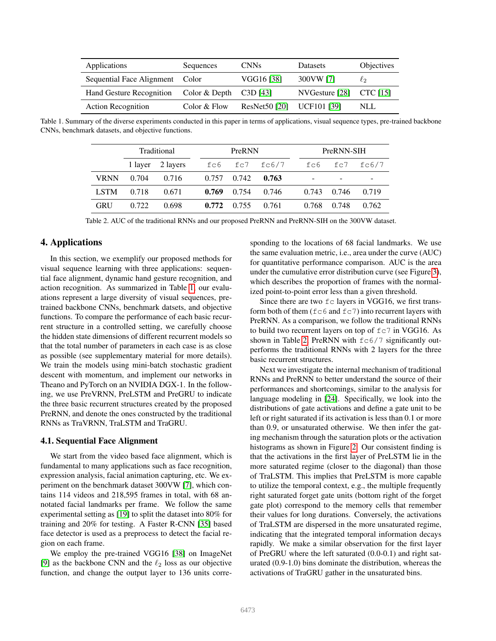| Applications                    | Sequences                | <b>CNNs</b>   | Datasets                    | Objectives |
|---------------------------------|--------------------------|---------------|-----------------------------|------------|
| Sequential Face Alignment Color |                          | VGG16 [38]    | 300VW [7]                   | $\ell_2$   |
| Hand Gesture Recognition        | Color & Depth $C3D$ [43] |               | NVGesture $[28]$ CTC $[15]$ |            |
| <b>Action Recognition</b>       | Color & Flow             | ResNet50 [20] | UCF101 [39]                 | NLL        |

<span id="page-4-0"></span>Table 1. Summary of the diverse experiments conducted in this paper in terms of applications, visual sequence types, pre-trained backbone CNNs, benchmark datasets, and objective functions.

| Traditional |       |                  | PreRNN |             |                   |       | PreRNN-SIH |       |       |
|-------------|-------|------------------|--------|-------------|-------------------|-------|------------|-------|-------|
|             |       | 1 layer 2 layers |        |             | fc6 $fc7$ $fc6/7$ | fc6   |            | fc7   | fc6/7 |
| <b>VRNN</b> | 0.704 | 0.716            |        | 0.757 0.742 | 0.763             |       |            |       | -     |
| <b>LSTM</b> | 0.718 | 0.671            | 0.769  | 0.754       | 0.746             | 0.743 |            | 0.746 | 0.719 |
| <b>GRU</b>  | 0.722 | 0.698            | 0.772  | 0.755       | 0.761             | 0.768 |            | 0.748 | 0.762 |

<span id="page-4-1"></span>Table 2. AUC of the traditional RNNs and our proposed PreRNN and PreRNN-SIH on the 300VW dataset.

## 4. Applications

In this section, we exemplify our proposed methods for visual sequence learning with three applications: sequential face alignment, dynamic hand gesture recognition, and action recognition. As summarized in Table [1,](#page-4-0) our evaluations represent a large diversity of visual sequences, pretrained backbone CNNs, benchmark datsets, and objective functions. To compare the performance of each basic recurrent structure in a controlled setting, we carefully choose the hidden state dimensions of different recurrent models so that the total number of parameters in each case is as close as possible (see supplementary material for more details). We train the models using mini-batch stochastic gradient descent with momentum, and implement our networks in Theano and PyTorch on an NVIDIA DGX-1. In the following, we use PreVRNN, PreLSTM and PreGRU to indicate the three basic recurrent structures created by the proposed PreRNN, and denote the ones constructed by the traditional RNNs as TraVRNN, TraLSTM and TraGRU.

#### 4.1. Sequential Face Alignment

We start from the video based face alignment, which is fundamental to many applications such as face recognition, expression analysis, facial animation capturing, etc. We experiment on the benchmark dataset 300VW [\[7\]](#page-8-30), which contains 114 videos and 218,595 frames in total, with 68 annotated facial landmarks per frame. We follow the same experimental setting as [\[19\]](#page-8-15) to split the dataset into 80% for training and 20% for testing. A Faster R-CNN [\[35\]](#page-8-33) based face detector is used as a preprocess to detect the facial region on each frame.

We employ the pre-trained VGG16 [\[38\]](#page-8-22) on ImageNet [\[9\]](#page-8-12) as the backbone CNN and the  $\ell_2$  loss as our objective function, and change the output layer to 136 units corresponding to the locations of 68 facial landmarks. We use the same evaluation metric, i.e., area under the curve (AUC) for quantitative performance comparison. AUC is the area under the cumulative error distribution curve (see Figure [3\)](#page-5-0), which describes the proportion of frames with the normalized point-to-point error less than a given threshold.

Since there are two  $fc$  layers in VGG16, we first transform both of them ( $f \in 6$  and  $f \in 7$ ) into recurrent layers with PreRNN. As a comparison, we follow the traditional RNNs to build two recurrent layers on top of  $\epsilon$  = 7 in VGG16. As shown in Table [2,](#page-4-1) PreRNN with  $f c 6/7$  significantly outperforms the traditional RNNs with 2 layers for the three basic recurrent structures.

Next we investigate the internal mechanism of traditional RNNs and PreRNN to better understand the source of their performances and shortcomings, similar to the analysis for language modeling in [\[24\]](#page-8-18). Specifically, we look into the distributions of gate activations and define a gate unit to be left or right saturated if its activation is less than 0.1 or more than 0.9, or unsaturated otherwise. We then infer the gating mechanism through the saturation plots or the activation histograms as shown in Figure [2.](#page-5-1) Our consistent finding is that the activations in the first layer of PreLSTM lie in the more saturated regime (closer to the diagonal) than those of TraLSTM. This implies that PreLSTM is more capable to utilize the temporal context, e.g., the multiple frequently right saturated forget gate units (bottom right of the forget gate plot) correspond to the memory cells that remember their values for long durations. Conversely, the activations of TraLSTM are dispersed in the more unsaturated regime, indicating that the integrated temporal information decays rapidly. We make a similar observation for the first layer of PreGRU where the left saturated (0.0-0.1) and right saturated (0.9-1.0) bins dominate the distribution, whereas the activations of TraGRU gather in the unsaturated bins.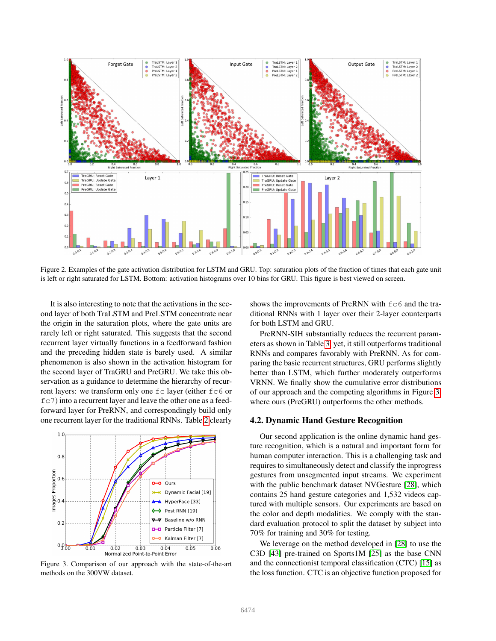

<span id="page-5-1"></span>Figure 2. Examples of the gate activation distribution for LSTM and GRU. Top: saturation plots of the fraction of times that each gate unit is left or right saturated for LSTM. Bottom: activation histograms over 10 bins for GRU. This figure is best viewed on screen.

It is also interesting to note that the activations in the second layer of both TraLSTM and PreLSTM concentrate near the origin in the saturation plots, where the gate units are rarely left or right saturated. This suggests that the second recurrent layer virtually functions in a feedforward fashion and the preceding hidden state is barely used. A similar phenomenon is also shown in the activation histogram for the second layer of TraGRU and PreGRU. We take this observation as a guidance to determine the hierarchy of recurrent layers: we transform only one fc layer (either fc6 or fc7) into a recurrent layer and leave the other one as a feedforward layer for PreRNN, and correspondingly build only one recurrent layer for the traditional RNNs. Table [2](#page-4-1) clearly



<span id="page-5-0"></span>Figure 3. Comparison of our approach with the state-of-the-art methods on the 300VW dataset.

shows the improvements of PreRNN with  $fc6$  and the traditional RNNs with 1 layer over their 2-layer counterparts for both LSTM and GRU.

PreRNN-SIH substantially reduces the recurrent parameters as shown in Table [3,](#page-6-0) yet, it still outperforms traditional RNNs and compares favorably with PreRNN. As for comparing the basic recurrent structures, GRU performs slightly better than LSTM, which further moderately outperforms VRNN. We finally show the cumulative error distributions of our approach and the competing algorithms in Figure [3,](#page-5-0) where ours (PreGRU) outperforms the other methods.

#### 4.2. Dynamic Hand Gesture Recognition

Our second application is the online dynamic hand gesture recognition, which is a natural and important form for human computer interaction. This is a challenging task and requires to simultaneously detect and classify the inprogress gestures from unsegmented input streams. We experiment with the public benchmark dataset NVGesture [\[28\]](#page-8-16), which contains 25 hand gesture categories and 1,532 videos captured with multiple sensors. Our experiments are based on the color and depth modalities. We comply with the standard evaluation protocol to split the dataset by subject into 70% for training and 30% for testing.

We leverage on the method developed in [\[28\]](#page-8-16) to use the C3D [\[43\]](#page-9-3) pre-trained on Sports1M [\[25\]](#page-8-13) as the base CNN and the connectionist temporal classification (CTC) [\[15\]](#page-8-31) as the loss function. CTC is an objective function proposed for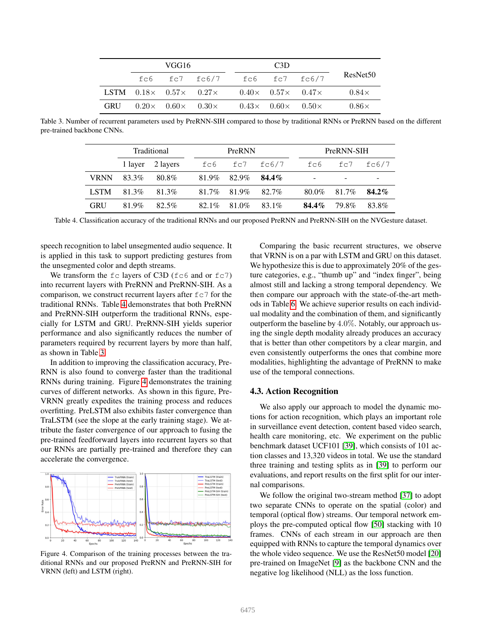|            | VGG16                                 |                                                                                |                                       | C <sub>3</sub> D |                      |
|------------|---------------------------------------|--------------------------------------------------------------------------------|---------------------------------------|------------------|----------------------|
|            |                                       | $fc6$ $fc7$ $fc6/7$ $fc6$ $fc7$ $fc6/7$                                        |                                       |                  | ResNet <sub>50</sub> |
|            |                                       | LSTM $0.18 \times 0.57 \times 0.27 \times 0.40 \times 0.57 \times 0.47 \times$ |                                       |                  | $0.84\times$         |
| <b>GRU</b> | $0.20 \times 0.60 \times 0.30 \times$ |                                                                                | $0.43 \times 0.60 \times 0.50 \times$ |                  | $0.86\times$         |

<span id="page-6-0"></span>Table 3. Number of recurrent parameters used by PreRNN-SIH compared to those by traditional RNNs or PreRNN based on the different pre-trained backbone CNNs.

| Traditional |         |          | PreRNN   |       |          |          | PreRNN-SIH |       |          |
|-------------|---------|----------|----------|-------|----------|----------|------------|-------|----------|
|             | 1 layer | 2 layers | fc6      | fc7   | fc6/7    | fc6      |            | fc7   | fc6/7    |
| <b>VRNN</b> | 83.3%   | 80.8%    | 81.9%    | 82.9% | $84.4\%$ | -        |            |       | -        |
| <b>LSTM</b> | 81.3%   | 81.3%    | 81.7%    | 81.9% | $82.7\%$ | 80.0%    |            | 81.7% | $84.2\%$ |
| <b>GRU</b>  | 81.9%   | 82.5%    | $82.1\%$ | 81.0% | $83.1\%$ | $84.4\%$ |            | 79 8% | 83.8%    |

<span id="page-6-1"></span>Table 4. Classification accuracy of the traditional RNNs and our proposed PreRNN and PreRNN-SIH on the NVGesture dataset.

speech recognition to label unsegmented audio sequence. It is applied in this task to support predicting gestures from the unsegmented color and depth streams.

We transform the  $fc$  layers of C3D ( $fc6$  and or  $fc7$ ) into recurrent layers with PreRNN and PreRNN-SIH. As a comparison, we construct recurrent layers after  $fc7$  for the traditional RNNs. Table [4](#page-6-1) demonstrates that both PreRNN and PreRNN-SIH outperform the traditional RNNs, especially for LSTM and GRU. PreRNN-SIH yields superior performance and also significantly reduces the number of parameters required by recurrent layers by more than half, as shown in Table [3.](#page-6-0)

In addition to improving the classification accuracy, Pre-RNN is also found to converge faster than the traditional RNNs during training. Figure [4](#page-6-2) demonstrates the training curves of different networks. As shown in this figure, Pre-VRNN greatly expedites the training process and reduces overfitting. PreLSTM also exhibits faster convergence than TraLSTM (see the slope at the early training stage). We attribute the faster convergence of our approach to fusing the pre-trained feedforward layers into recurrent layers so that our RNNs are partially pre-trained and therefore they can accelerate the convergence.



<span id="page-6-2"></span>Figure 4. Comparison of the training processes between the traditional RNNs and our proposed PreRNN and PreRNN-SIH for VRNN (left) and LSTM (right).

Comparing the basic recurrent structures, we observe that VRNN is on a par with LSTM and GRU on this dataset. We hypothesize this is due to approximately 20% of the gesture categories, e.g., "thumb up" and "index finger", being almost still and lacking a strong temporal dependency. We then compare our approach with the state-of-the-art methods in Table [6.](#page-7-0) We achieve superior results on each individual modality and the combination of them, and significantly outperform the baseline by 4.0%. Notably, our approach using the single depth modality already produces an accuracy that is better than other competitors by a clear margin, and even consistently outperforms the ones that combine more modalities, highlighting the advantage of PreRNN to make use of the temporal connections.

# 4.3. Action Recognition

We also apply our approach to model the dynamic motions for action recognition, which plays an important role in surveillance event detection, content based video search, health care monitoring, etc. We experiment on the public benchmark dataset UCF101 [\[39\]](#page-8-32), which consists of 101 action classes and 13,320 videos in total. We use the standard three training and testing splits as in [\[39\]](#page-8-32) to perform our evaluations, and report results on the first split for our internal comparisons.

We follow the original two-stream method [\[37\]](#page-8-34) to adopt two separate CNNs to operate on the spatial (color) and temporal (optical flow) streams. Our temporal network employs the pre-computed optical flow [\[50\]](#page-9-5) stacking with 10 frames. CNNs of each stream in our approach are then equipped with RNNs to capture the temporal dynamics over the whole video sequence. We use the ResNet50 model [\[20\]](#page-8-28) pre-trained on ImageNet [\[9\]](#page-8-12) as the backbone CNN and the negative log likelihood (NLL) as the loss function.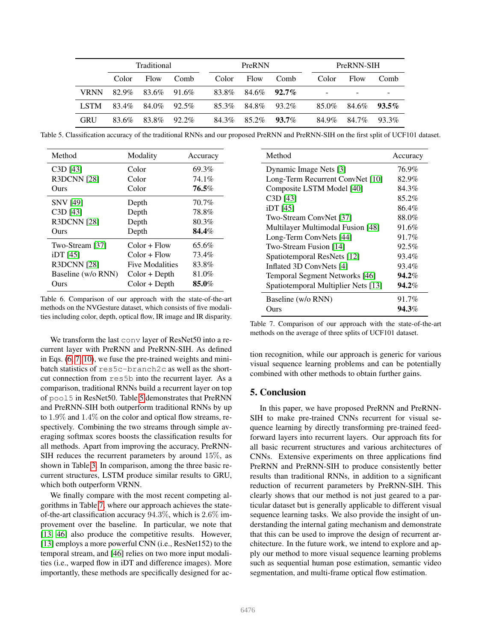| Traditional |       |       |          | PreRNN |       |          | PreRNN-SIH               |       |          |
|-------------|-------|-------|----------|--------|-------|----------|--------------------------|-------|----------|
|             | Color | Flow  | Comb     | Color  | Flow  | Comb     | Color                    | Flow  | Comb     |
| <b>VRNN</b> | 82.9% | 83.6% | 91.6%    | 83.8%  | 84.6% | $92.7\%$ | $\overline{\phantom{0}}$ |       |          |
| <b>LSTM</b> | 83.4% | 84.0% | 92.5%    | 85.3%  | 84.8% | 93.2%    | 85.0%                    | 84.6% | $93.5\%$ |
| <b>GRU</b>  | 83.6% | 83.8% | $92.2\%$ | 84.3%  | 85.2% | $93.7\%$ | 84.9%                    | 84.7% | 93.3%    |

<span id="page-7-1"></span>Table 5. Classification accuracy of the traditional RNNs and our proposed PreRNN and PreRNN-SIH on the first split of UCF101 dataset.

| Method             | Modality               | Accuracy |
|--------------------|------------------------|----------|
| $C3D$ [43]         | Color                  | 69.3%    |
| <b>R3DCNN [28]</b> | Color                  | 74.1%    |
| Ours               | Color                  | $76.5\%$ |
| <b>SNV</b> [49]    | Depth                  | 70.7%    |
| $C3D$ [43]         | Depth                  | 78.8%    |
| <b>R3DCNN [28]</b> | Depth                  | 80.3%    |
| Ours               | Depth                  | 84.4%    |
| Two-Stream [37]    | $Color + Flow$         | 65.6%    |
| $iDT$ [45]         | $Color + Flow$         | 73.4%    |
| <b>R3DCNN [28]</b> | <b>Five Modalities</b> | 83.8%    |
| Baseline (w/o RNN) | $Color + Depth$        | 81.0%    |
| Ours               | $Color + Depth$        | 85.0%    |

<span id="page-7-0"></span>Table 6. Comparison of our approach with the state-of-the-art methods on the NVGesture dataset, which consists of five modalities including color, depth, optical flow, IR image and IR disparity.

We transform the last conv layer of ResNet50 into a recurrent layer with PreRNN and PreRNN-SIH. As defined in Eqs. [\(6,](#page-2-4) [7,](#page-3-1) [10\)](#page-3-4), we fuse the pre-trained weights and minibatch statistics of res5c-branch2c as well as the shortcut connection from res5b into the recurrent layer. As a comparison, traditional RNNs build a recurrent layer on top of pool5 in ResNet50. Table [5](#page-7-1) demonstrates that PreRNN and PreRNN-SIH both outperform traditional RNNs by up to 1.9% and 1.4% on the color and optical flow streams, respectively. Combining the two streams through simple averaging softmax scores boosts the classification results for all methods. Apart from improving the accuracy, PreRNN-SIH reduces the recurrent parameters by around 15%, as shown in Table [3.](#page-6-0) In comparison, among the three basic recurrent structures, LSTM produce similar results to GRU, which both outperform VRNN.

We finally compare with the most recent competing algorithms in Table [7,](#page-7-2) where our approach achieves the stateof-the-art classification accuracy 94.3%, which is 2.6% improvement over the baseline. In particular, we note that [\[13,](#page-8-35) [46\]](#page-9-8) also produce the competitive results. However, [\[13\]](#page-8-35) employs a more powerful CNN (i.e., ResNet152) to the temporal stream, and [\[46\]](#page-9-8) relies on two more input modalities (i.e., warped flow in iDT and difference images). More importantly, these methods are specifically designed for ac-

| Method                              | Accuracy |
|-------------------------------------|----------|
| Dynamic Image Nets [3]              | 76.9%    |
| Long-Term Recurrent ConvNet [10]    | 82.9%    |
| Composite LSTM Model [40]           | 84.3%    |
| C <sub>3</sub> D <sub>[43]</sub>    | 85.2%    |
| iDT [45]                            | 86.4%    |
| Two-Stream ConvNet [37]             | 88.0%    |
| Multilayer Multimodal Fusion [48]   | 91.6%    |
| Long-Term ConvNets [44]             | 91.7%    |
| Two-Stream Fusion [14]              | 92.5%    |
| Spatiotemporal ResNets [12]         | 93.4%    |
| Inflated 3D ConvNets [4]            | 93.4%    |
| Temporal Segment Networks [46]      | 94.2%    |
| Spatiotemporal Multiplier Nets [13] | 94.2%    |
| Baseline (w/o RNN)                  | 91.7%    |
| Ours)                               | 94.3%    |

<span id="page-7-2"></span>Table 7. Comparison of our approach with the state-of-the-art methods on the average of three splits of UCF101 dataset.

tion recognition, while our approach is generic for various visual sequence learning problems and can be potentially combined with other methods to obtain further gains.

# 5. Conclusion

In this paper, we have proposed PreRNN and PreRNN-SIH to make pre-trained CNNs recurrent for visual sequence learning by directly transforming pre-trained feedforward layers into recurrent layers. Our approach fits for all basic recurrent structures and various architectures of CNNs. Extensive experiments on three applications find PreRNN and PreRNN-SIH to produce consistently better results than traditional RNNs, in addition to a significant reduction of recurrent parameters by PreRNN-SIH. This clearly shows that our method is not just geared to a particular dataset but is generally applicable to different visual sequence learning tasks. We also provide the insight of understanding the internal gating mechanism and demonstrate that this can be used to improve the design of recurrent architecture. In the future work, we intend to explore and apply our method to more visual sequence learning problems such as sequential human pose estimation, semantic video segmentation, and multi-frame optical flow estimation.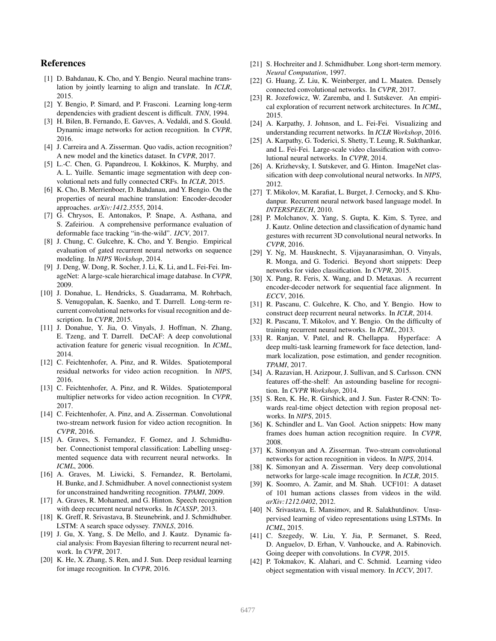# References

- <span id="page-8-10"></span>[1] D. Bahdanau, K. Cho, and Y. Bengio. Neural machine translation by jointly learning to align and translate. In *ICLR*, 2015.
- <span id="page-8-6"></span>[2] Y. Bengio, P. Simard, and P. Frasconi. Learning long-term dependencies with gradient descent is difficult. *TNN*, 1994.
- <span id="page-8-36"></span>[3] H. Bilen, B. Fernando, E. Gavves, A. Vedaldi, and S. Gould. Dynamic image networks for action recognition. In *CVPR*, 2016.
- <span id="page-8-40"></span>[4] J. Carreira and A. Zisserman. Quo vadis, action recognition? A new model and the kinetics dataset. In *CVPR*, 2017.
- <span id="page-8-25"></span>[5] L.-C. Chen, G. Papandreou, I. Kokkinos, K. Murphy, and A. L. Yuille. Semantic image segmentation with deep convolutional nets and fully connected CRFs. In *ICLR*, 2015.
- <span id="page-8-2"></span>[6] K. Cho, B. Merrienboer, D. Bahdanau, and Y. Bengio. On the properties of neural machine translation: Encoder-decoder approaches. *arXiv:1412.3555*, 2014.
- <span id="page-8-30"></span>[7] G. Chrysos, E. Antonakos, P. Snape, A. Asthana, and S. Zafeiriou. A comprehensive performance evaluation of deformable face tracking "in-the-wild". *IJCV*, 2017.
- <span id="page-8-4"></span>[8] J. Chung, C. Gulcehre, K. Cho, and Y. Bengio. Empirical evaluation of gated recurrent neural networks on sequence modeling. In *NIPS Workshop*, 2014.
- <span id="page-8-12"></span>[9] J. Deng, W. Dong, R. Socher, J. Li, K. Li, and L. Fei-Fei. ImageNet: A large-scale hierarchical image database. In *CVPR*, 2009.
- <span id="page-8-5"></span>[10] J. Donahue, L. Hendricks, S. Guadarrama, M. Rohrbach, S. Venugopalan, K. Saenko, and T. Darrell. Long-term recurrent convolutional networks for visual recognition and description. In *CVPR*, 2015.
- <span id="page-8-26"></span>[11] J. Donahue, Y. Jia, O. Vinyals, J. Hoffman, N. Zhang, E. Tzeng, and T. Darrell. DeCAF: A deep convolutional activation feature for generic visual recognition. In *ICML*, 2014.
- <span id="page-8-39"></span>[12] C. Feichtenhofer, A. Pinz, and R. Wildes. Spatiotemporal residual networks for video action recognition. In *NIPS*, 2016.
- <span id="page-8-35"></span>[13] C. Feichtenhofer, A. Pinz, and R. Wildes. Spatiotemporal multiplier networks for video action recognition. In *CVPR*, 2017.
- <span id="page-8-38"></span>[14] C. Feichtenhofer, A. Pinz, and A. Zisserman. Convolutional two-stream network fusion for video action recognition. In *CVPR*, 2016.
- <span id="page-8-31"></span>[15] A. Graves, S. Fernandez, F. Gomez, and J. Schmidhuber. Connectionist temporal classification: Labelling unsegmented sequence data with recurrent neural networks. In *ICML*, 2006.
- <span id="page-8-1"></span>[16] A. Graves, M. Liwicki, S. Fernandez, R. Bertolami, H. Bunke, and J. Schmidhuber. A novel connectionist system for unconstrained handwriting recognition. *TPAMI*, 2009.
- <span id="page-8-3"></span>[17] A. Graves, R. Mohamed, and G. Hinton. Speech recognition with deep recurrent neural networks. In *ICASSP*, 2013.
- <span id="page-8-11"></span>[18] K. Greff, R. Srivastava, B. Steunebrink, and J. Schmidhuber. LSTM: A search space odyssey. *TNNLS*, 2016.
- <span id="page-8-15"></span>[19] J. Gu, X. Yang, S. De Mello, and J. Kautz. Dynamic facial analysis: From Bayesian filtering to recurrent neural network. In *CVPR*, 2017.
- <span id="page-8-28"></span>[20] K. He, X. Zhang, S. Ren, and J. Sun. Deep residual learning for image recognition. In *CVPR*, 2016.
- <span id="page-8-8"></span>[21] S. Hochreiter and J. Schmidhuber. Long short-term memory. *Neural Computation*, 1997.
- <span id="page-8-29"></span>[22] G. Huang, Z. Liu, K. Weinberger, and L. Maaten. Densely connected convolutional networks. In *CVPR*, 2017.
- <span id="page-8-9"></span>[23] R. Jozefowicz, W. Zaremba, and I. Sutskever. An empirical exploration of recurrent network architectures. In *ICML*, 2015.
- <span id="page-8-18"></span>[24] A. Karpathy, J. Johnson, and L. Fei-Fei. Visualizing and understanding recurrent networks. In *ICLR Workshop*, 2016.
- <span id="page-8-13"></span>[25] A. Karpathy, G. Toderici, S. Shetty, T. Leung, R. Sukthankar, and L. Fei-Fei. Large-scale video classification with convolutional neural networks. In *CVPR*, 2014.
- <span id="page-8-20"></span>[26] A. Krizhevsky, I. Sutskever, and G. Hinton. ImageNet classification with deep convolutional neural networks. In *NIPS*, 2012.
- <span id="page-8-0"></span>[27] T. Mikolov, M. Karafiat, L. Burget, J. Cernocky, and S. Khudanpur. Recurrent neural network based language model. In *INTERSPEECH*, 2010.
- <span id="page-8-16"></span>[28] P. Molchanov, X. Yang, S. Gupta, K. Kim, S. Tyree, and J. Kautz. Online detection and classification of dynamic hand gestures with recurrent 3D convolutional neural networks. In *CVPR*, 2016.
- <span id="page-8-17"></span>[29] Y. Ng, M. Hausknecht, S. Vijayanarasimhan, O. Vinyals, R. Monga, and G. Toderici. Beyond short snippets: Deep networks for video classification. In *CVPR*, 2015.
- <span id="page-8-23"></span>[30] X. Pang, R. Feris, X. Wang, and D. Metaxas. A recurrent encoder-decoder network for sequential face alignment. In *ECCV*, 2016.
- <span id="page-8-19"></span>[31] R. Pascanu, C. Gulcehre, K. Cho, and Y. Bengio. How to construct deep recurrent neural networks. In *ICLR*, 2014.
- <span id="page-8-7"></span>[32] R. Pascanu, T. Mikolov, and Y. Bengio. On the difficulty of training recurrent neural networks. In *ICML*, 2013.
- [33] R. Ranjan, V. Patel, and R. Chellappa. Hyperface: A deep multi-task learning framework for face detection, landmark localization, pose estimation, and gender recognition. *TPAMI*, 2017.
- <span id="page-8-27"></span>[34] A. Razavian, H. Azizpour, J. Sullivan, and S. Carlsson. CNN features off-the-shelf: An astounding baseline for recognition. In *CVPR Workshop*, 2014.
- <span id="page-8-33"></span>[35] S. Ren, K. He, R. Girshick, and J. Sun. Faster R-CNN: Towards real-time object detection with region proposal networks. In *NIPS*, 2015.
- <span id="page-8-14"></span>[36] K. Schindler and L. Van Gool. Action snippets: How many frames does human action recognition require. In *CVPR*, 2008.
- <span id="page-8-34"></span>[37] K. Simonyan and A. Zisserman. Two-stream convolutional networks for action recognition in videos. In *NIPS*, 2014.
- <span id="page-8-22"></span>[38] K. Simonyan and A. Zisserman. Very deep convolutional networks for large-scale image recognition. In *ICLR*, 2015.
- <span id="page-8-32"></span>[39] K. Soomro, A. Zamir, and M. Shah. UCF101: A dataset of 101 human actions classes from videos in the wild. *arXiv:1212.0402*, 2012.
- <span id="page-8-37"></span>[40] N. Srivastava, E. Mansimov, and R. Salakhutdinov. Unsupervised learning of video representations using LSTMs. In *ICML*, 2015.
- <span id="page-8-21"></span>[41] C. Szegedy, W. Liu, Y. Jia, P. Sermanet, S. Reed, D. Anguelov, D. Erhan, V. Vanhoucke, and A. Rabinovich. Going deeper with convolutions. In *CVPR*, 2015.
- <span id="page-8-24"></span>[42] P. Tokmakov, K. Alahari, and C. Schmid. Learning video object segmentation with visual memory. In *ICCV*, 2017.